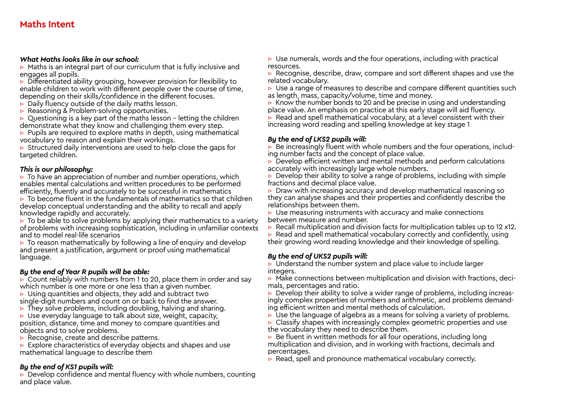#### *What Maths looks like in our school:*

 $\triangleright$  Maths is an integral part of our curriculum that is fully inclusive and engages all pupils.

▷ Differentiated ability grouping, however provision for flexibility to enable children to work with different people over the course of time, depending on their skills/confidence in the different focuses.

- $\triangleright$  Daily fluency outside of the daily maths lesson.
- ▷ Reasoning & Problem-solving opportunities.
- $\triangleright$  Questioning is a key part of the maths lesson letting the children demonstrate what they know and challenging them every step.
- $\triangleright$  Pupils are required to explore maths in depth, using mathematical vocabulary to reason and explain their workings.

 $\triangleright$  Structured daily interventions are used to help close the gaps for targeted children.

#### *This is our philosophy:*

▷ To have an appreciation of number and number operations, which enables mental calculations and written procedures to be performed efficiently, fluently and accurately to be successful in mathematics

 $\triangleright$  To become fluent in the fundamentals of mathematics so that children develop conceptual understanding and the ability to recall and apply knowledge rapidly and accurately.

 $\triangleright$  To be able to solve problems by applying their mathematics to a variety of problems with increasing sophistication, including in unfamiliar contexts and to model real-life scenarios

▷ To reason mathematically by following a line of enquiry and develop and present a justification, argument or proof using mathematical language.

## *By the end of Year R pupils will be able:*

 $\triangleright$  Count reliably with numbers from 1 to 20, place them in order and say which number is one more or one less than a given number.

 $\triangleright$  Using quantities and objects, they add and subtract two single-digit numbers and count on or back to find the answer.

 $\triangleright$  They solve problems, including doubling, halving and sharing.

 $\triangleright$  Use everyday language to talk about size, weight, capacity, position, distance, time and money to compare quantities and objects and to solve problems.

 $\triangleright$  Recognise, create and describe patterns.

▷ Explore characteristics of everyday objects and shapes and use mathematical language to describe them

## *By the end of KS1 pupils will:*

 $\triangleright$  Develop confidence and mental fluency with whole numbers, counting and place value.

 $\triangleright$  Use numerals, words and the four operations, including with practical resources.

▷ Recognise, describe, draw, compare and sort different shapes and use the related vocabulary.

▷ Use a range of measures to describe and compare different quantities such as length, mass, capacity/volume, time and money.

 $\triangleright$  Know the number bonds to 20 and be precise in using and understanding place value. An emphasis on practice at this early stage will aid fluency.

 $\triangleright$  Read and spell mathematical vocabulary, at a level consistent with their increasing word reading and spelling knowledge at key stage 1

## *By the end of LKS2 pupils will:*

▷ Be increasingly fluent with whole numbers and the four operations, including number facts and the concept of place value.

 $\triangleright$  Develop efficient written and mental methods and perform calculations accurately with increasingly large whole numbers.

 $\triangleright$  Develop their ability to solve a range of problems, including with simple fractions and decimal place value.

▷ Draw with increasing accuracy and develop mathematical reasoning so they can analyse shapes and their properties and confidently describe the relationships between them.

 $\triangleright$  Use measuring instruments with accuracy and make connections between measure and number.

▷ Recall multiplication and division facts for multiplication tables up to 12 x12.

 $\triangleright$  Read and spell mathematical vocabulary correctly and confidently, using

their growing word reading knowledge and their knowledge of spelling.

## *By the end of UKS2 pupils will:*

▷ Understand the number system and place value to include larger integers.

 $\triangleright$  Make connections between multiplication and division with fractions, decimals, percentages and ratio.<br> $\triangleright$  Develop their ability to solve a wider range of problems, including increas-

ingly complex properties of numbers and arithmetic, and problems demanding efficient written and mental methods of calculation.

 $\triangleright$  Use the language of algebra as a means for solving a variety of problems.

 $\triangleright$  Classify shapes with increasingly complex geometric properties and use the vocabulary they need to describe them.

▷ Be fluent in written methods for all four operations, including long multiplication and division, and in working with fractions, decimals and percentages.

 $\triangleright$  Read, spell and pronounce mathematical vocabulary correctly.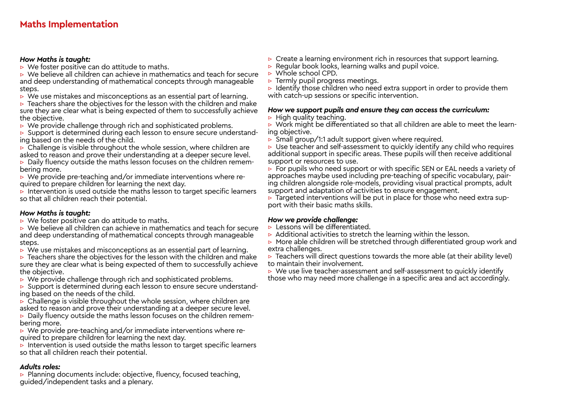#### *How Maths is taught:*

 $\triangleright$  We foster positive can do attitude to maths.

▷ We believe all children can achieve in mathematics and teach for secure and deep understanding of mathematical concepts through manageable steps.

 $\triangleright$  We use mistakes and misconceptions as an essential part of learning.

▷ Teachers share the objectives for the lesson with the children and make sure they are clear what is being expected of them to successfully achieve the objective.

 $\triangleright$  We provide challenge through rich and sophisticated problems.

▷ Support is determined during each lesson to ensure secure understanding based on the needs of the child.

 $\triangleright$  Challenge is visible throughout the whole session, where children are asked to reason and prove their understanding at a deeper secure level.

<sup>▷</sup> Daily fluency outside the maths lesson focuses on the children remem- bering more.

<sup>▷</sup> We provide pre-teaching and/or immediate interventions where re- quired to prepare children for learning the next day.

 $\triangleright$  Intervention is used outside the maths lesson to target specific learners so that all children reach their potential.

#### *How Maths is taught:*

 $\triangleright$  We foster positive can do attitude to maths.

- ▷ We believe all children can achieve in mathematics and teach for secure and deep understanding of mathematical concepts through manageable steps.
- $\triangleright$  We use mistakes and misconceptions as an essential part of learning.

 $\triangleright$  Teachers share the objectives for the lesson with the children and make sure they are clear what is being expected of them to successfully achieve the objective.

▷ We provide challenge through rich and sophisticated problems.

▷ Support is determined during each lesson to ensure secure understanding based on the needs of the child.

 $\triangleright$  Challenge is visible throughout the whole session, where children are asked to reason and prove their understanding at a deeper secure level.

▷ Daily fluency outside the maths lesson focuses on the children remembering more.

▷ We provide pre-teaching and/or immediate interventions where required to prepare children for learning the next day.

 $\triangleright$  Intervention is used outside the maths lesson to target specific learners so that all children reach their potential.

## *Adults roles:*

▷ Planning documents include: objective, fluency, focused teaching, guided/independent tasks and a plenary.

- $\triangleright$  Create a learning environment rich in resources that support learning.
- ▷ Regular book looks, learning walks and pupil voice.
- ▷ Whole school CPD.
- ▷ Termly pupil progress meetings.

 $\triangleright$  Identify those children who need extra support in order to provide them with catch-up sessions or specific intervention.

#### *How we support pupils and ensure they can access the curriculum:*

 $\triangleright$  High quality teaching.

 $\triangleright$  Work might be differentiated so that all children are able to meet the learning objective.

 $\triangleright$  Small group/1:1 adult support given where required.

▷ Use teacher and self-assessment to quickly identify any child who requires additional support in specific areas. These pupils will then receive additional support or resources to use.

▷ For pupils who need support or with specific SEN or EAL needs a variety of approaches maybe used including pre-teaching of specific vocabulary, pairing children alongside role-models, providing visual practical prompts, adult support and adaptation of activities to ensure engagement.

 $\triangleright$  Targeted interventions will be put in place for those who need extra support with their basic maths skills.

#### *How we provide challenge:*

- $\triangleright$  Lessons will be differentiated.
- $\triangleright$  Additional activities to stretch the learning within the lesson.
- ▷ More able children will be stretched through differentiated group work and extra challenges.

 $\triangleright$  Teachers will direct questions towards the more able (at their ability level) to maintain their involvement.

▷ We use live teacher-assessment and self-assessment to quickly identify

those who may need more challenge in a specific area and act accordingly.